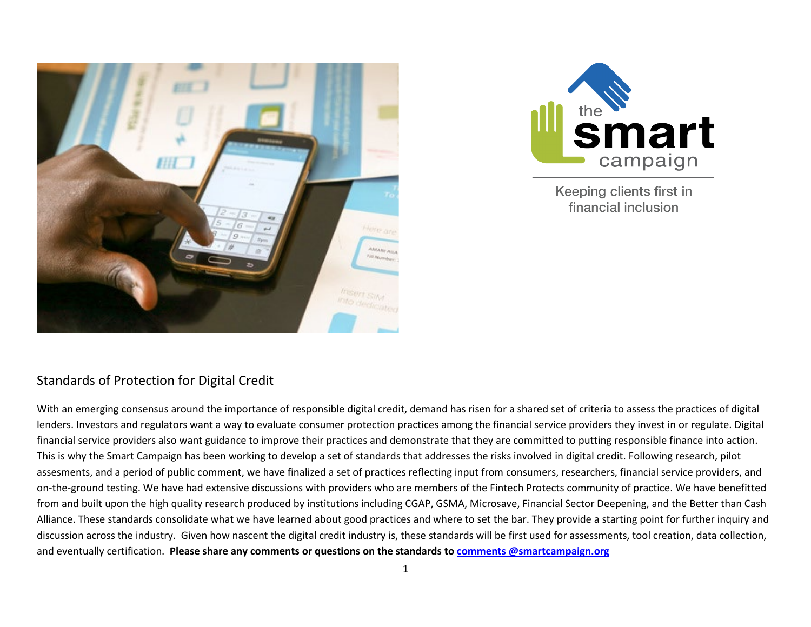



Keeping clients first in financial inclusion

## Standards of Protection for Digital Credit

With an emerging consensus around the importance of responsible digital credit, demand has risen for a shared set of criteria to assess the practices of digital lenders. Investors and regulators want a way to evaluate consumer protection practices among the financial service providers they invest in or regulate. Digital financial service providers also want guidance to improve their practices and demonstrate that they are committed to putting responsible finance into action. This is why the Smart Campaign has been working to develop a set of standards that addresses the risks involved in digital credit. Following research, pilot assesments, and a period of public comment, we have finalized a set of practices reflecting input from consumers, researchers, financial service providers, and on-the-ground testing. We have had extensive discussions with providers who are members of the Fintech Protects community of practice. We have benefitted from and built upon the high quality research produced by institutions including CGAP, GSMA, Microsave, Financial Sector Deepening, and the Better than Cash Alliance. These standards consolidate what we have learned about good practices and where to set the bar. They provide a starting point for further inquiry and discussion across the industry. Given how nascent the digital credit industry is, these standards will be first used for assessments, tool creation, data collection, and eventually certification. **Please share any comments or questions on the standards to [comments @smartcampaign.org](mailto:comments%20@smartcampaign.org?subject=Feedback%20on%20Standards%20)**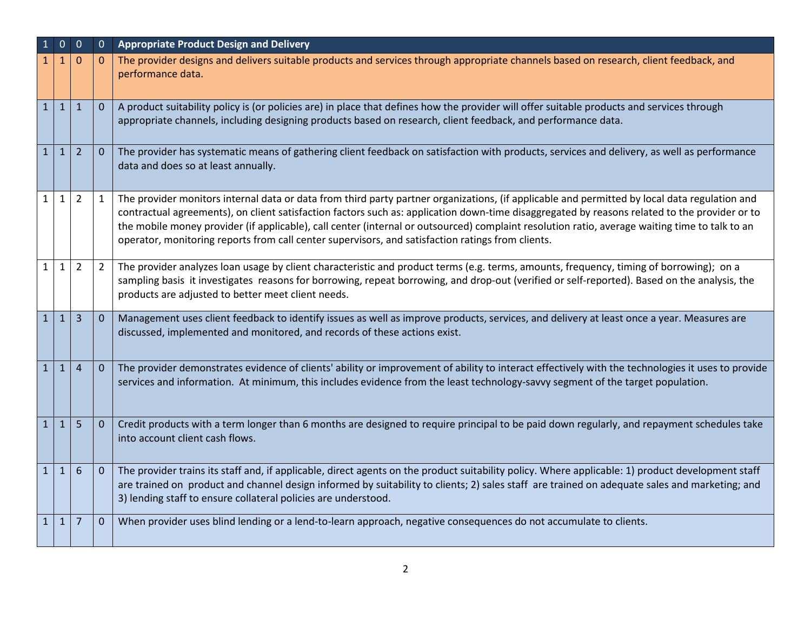| $\mathbf{1}$ | $\overline{0}$ | $\overline{0}$  | $\mathbf{0}$   | <b>Appropriate Product Design and Delivery</b>                                                                                                                                                                                                                                                                                                                                                                                                                                                                                                        |
|--------------|----------------|-----------------|----------------|-------------------------------------------------------------------------------------------------------------------------------------------------------------------------------------------------------------------------------------------------------------------------------------------------------------------------------------------------------------------------------------------------------------------------------------------------------------------------------------------------------------------------------------------------------|
|              | 1              | $\Omega$        | $\Omega$       | The provider designs and delivers suitable products and services through appropriate channels based on research, client feedback, and<br>performance data.                                                                                                                                                                                                                                                                                                                                                                                            |
| $\mathbf{1}$ | $\mathbf{1}$   | $\mathbf{1}$    | $\mathbf{0}$   | A product suitability policy is (or policies are) in place that defines how the provider will offer suitable products and services through<br>appropriate channels, including designing products based on research, client feedback, and performance data.                                                                                                                                                                                                                                                                                            |
| $\mathbf{1}$ | $\mathbf{1}$   | $\overline{2}$  | $\mathbf{0}$   | The provider has systematic means of gathering client feedback on satisfaction with products, services and delivery, as well as performance<br>data and does so at least annually.                                                                                                                                                                                                                                                                                                                                                                    |
| $\mathbf{1}$ | $\mathbf{1}$   | $\overline{2}$  | 1              | The provider monitors internal data or data from third party partner organizations, (if applicable and permitted by local data regulation and<br>contractual agreements), on client satisfaction factors such as: application down-time disaggregated by reasons related to the provider or to<br>the mobile money provider (if applicable), call center (internal or outsourced) complaint resolution ratio, average waiting time to talk to an<br>operator, monitoring reports from call center supervisors, and satisfaction ratings from clients. |
| $\mathbf{1}$ | $\mathbf{1}$   | $\overline{2}$  | $\overline{2}$ | The provider analyzes loan usage by client characteristic and product terms (e.g. terms, amounts, frequency, timing of borrowing); on a<br>sampling basis it investigates reasons for borrowing, repeat borrowing, and drop-out (verified or self-reported). Based on the analysis, the<br>products are adjusted to better meet client needs.                                                                                                                                                                                                         |
| $\mathbf{1}$ | $\mathbf{1}$   | $\overline{3}$  | $\Omega$       | Management uses client feedback to identify issues as well as improve products, services, and delivery at least once a year. Measures are<br>discussed, implemented and monitored, and records of these actions exist.                                                                                                                                                                                                                                                                                                                                |
| $\mathbf{1}$ | $\mathbf{1}$   | $\overline{4}$  | $\mathbf{0}$   | The provider demonstrates evidence of clients' ability or improvement of ability to interact effectively with the technologies it uses to provide<br>services and information. At minimum, this includes evidence from the least technology-savvy segment of the target population.                                                                                                                                                                                                                                                                   |
| $\mathbf{1}$ | $\mathbf{1}$   | 5               | $\mathbf{0}$   | Credit products with a term longer than 6 months are designed to require principal to be paid down regularly, and repayment schedules take<br>into account client cash flows.                                                                                                                                                                                                                                                                                                                                                                         |
| $\mathbf{1}$ | $\mathbf{1}$   | $6\phantom{1}6$ | $\mathbf{0}$   | The provider trains its staff and, if applicable, direct agents on the product suitability policy. Where applicable: 1) product development staff<br>are trained on product and channel design informed by suitability to clients; 2) sales staff are trained on adequate sales and marketing; and<br>3) lending staff to ensure collateral policies are understood.                                                                                                                                                                                  |
| $\mathbf{1}$ | $\mathbf{1}$   | 7               | $\Omega$       | When provider uses blind lending or a lend-to-learn approach, negative consequences do not accumulate to clients.                                                                                                                                                                                                                                                                                                                                                                                                                                     |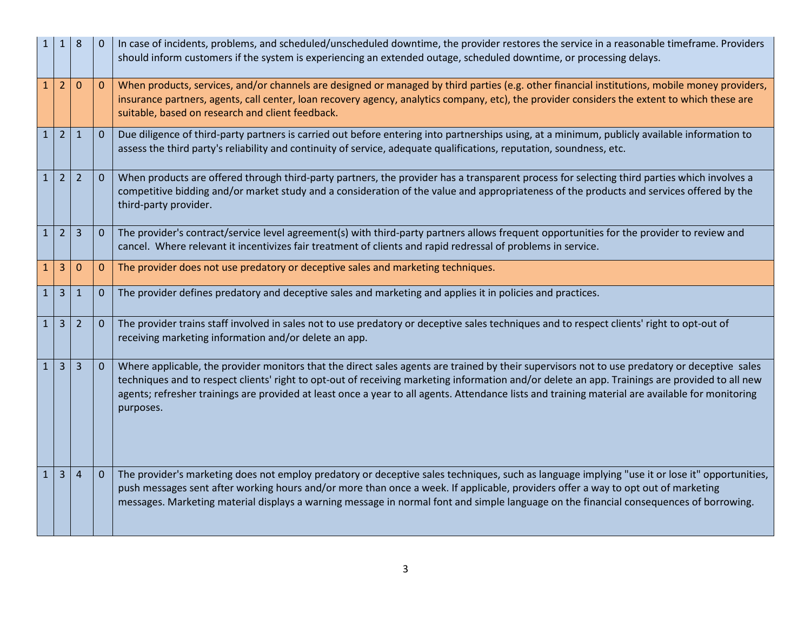| 1            | $\mathbf{1}$   | 8              | $\Omega$     | In case of incidents, problems, and scheduled/unscheduled downtime, the provider restores the service in a reasonable timeframe. Providers<br>should inform customers if the system is experiencing an extended outage, scheduled downtime, or processing delays.                                                                                                                                                                                                |
|--------------|----------------|----------------|--------------|------------------------------------------------------------------------------------------------------------------------------------------------------------------------------------------------------------------------------------------------------------------------------------------------------------------------------------------------------------------------------------------------------------------------------------------------------------------|
|              | $\overline{2}$ | $\Omega$       | $\mathbf{0}$ | When products, services, and/or channels are designed or managed by third parties (e.g. other financial institutions, mobile money providers,<br>insurance partners, agents, call center, loan recovery agency, analytics company, etc), the provider considers the extent to which these are<br>suitable, based on research and client feedback.                                                                                                                |
| $\mathbf{1}$ | $\overline{2}$ | $\mathbf{1}$   | $\mathbf{0}$ | Due diligence of third-party partners is carried out before entering into partnerships using, at a minimum, publicly available information to<br>assess the third party's reliability and continuity of service, adequate qualifications, reputation, soundness, etc.                                                                                                                                                                                            |
| 1            | 2              | 2              | $\mathbf{0}$ | When products are offered through third-party partners, the provider has a transparent process for selecting third parties which involves a<br>competitive bidding and/or market study and a consideration of the value and appropriateness of the products and services offered by the<br>third-party provider.                                                                                                                                                 |
| $\mathbf{1}$ | $\overline{2}$ | 3              | $\mathbf{0}$ | The provider's contract/service level agreement(s) with third-party partners allows frequent opportunities for the provider to review and<br>cancel. Where relevant it incentivizes fair treatment of clients and rapid redressal of problems in service.                                                                                                                                                                                                        |
| 1            | 3              | $\Omega$       | $\mathbf{0}$ | The provider does not use predatory or deceptive sales and marketing techniques.                                                                                                                                                                                                                                                                                                                                                                                 |
| $\mathbf{1}$ | $\overline{3}$ | $\mathbf{1}$   | $\mathbf{0}$ | The provider defines predatory and deceptive sales and marketing and applies it in policies and practices.                                                                                                                                                                                                                                                                                                                                                       |
| 1            | $\overline{3}$ | $\overline{2}$ | $\mathbf{0}$ | The provider trains staff involved in sales not to use predatory or deceptive sales techniques and to respect clients' right to opt-out of<br>receiving marketing information and/or delete an app.                                                                                                                                                                                                                                                              |
| $\mathbf{1}$ | $\overline{3}$ | $\overline{3}$ | $\mathbf{0}$ | Where applicable, the provider monitors that the direct sales agents are trained by their supervisors not to use predatory or deceptive sales<br>techniques and to respect clients' right to opt-out of receiving marketing information and/or delete an app. Trainings are provided to all new<br>agents; refresher trainings are provided at least once a year to all agents. Attendance lists and training material are available for monitoring<br>purposes. |
| $\mathbf{1}$ | $\overline{3}$ | $\overline{4}$ | $\mathbf{0}$ | The provider's marketing does not employ predatory or deceptive sales techniques, such as language implying "use it or lose it" opportunities,<br>push messages sent after working hours and/or more than once a week. If applicable, providers offer a way to opt out of marketing<br>messages. Marketing material displays a warning message in normal font and simple language on the financial consequences of borrowing.                                    |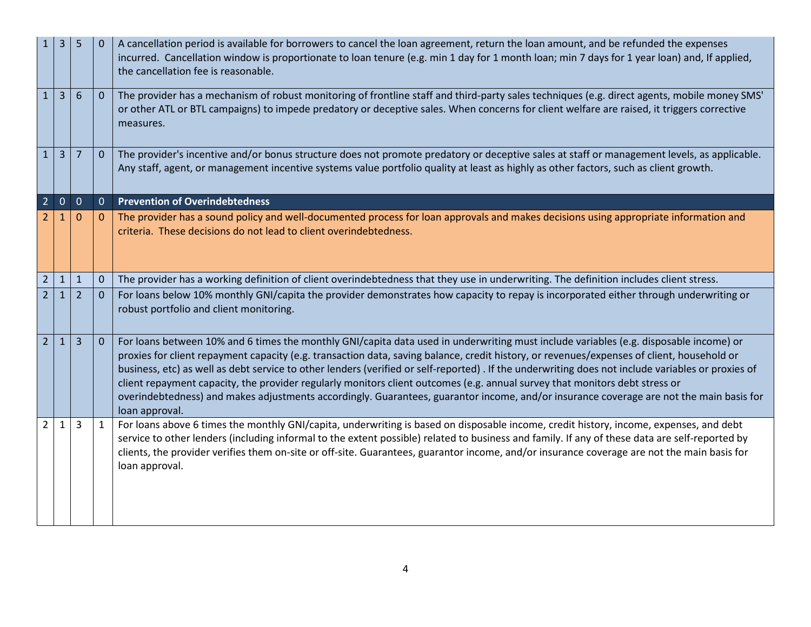|                | 3              | 5              | $\mathbf{0}$ | A cancellation period is available for borrowers to cancel the loan agreement, return the loan amount, and be refunded the expenses<br>incurred. Cancellation window is proportionate to loan tenure (e.g. min 1 day for 1 month loan; min 7 days for 1 year loan) and, If applied,<br>the cancellation fee is reasonable.                                                                                                                                                                                                                                                                                                                                                                                                           |
|----------------|----------------|----------------|--------------|--------------------------------------------------------------------------------------------------------------------------------------------------------------------------------------------------------------------------------------------------------------------------------------------------------------------------------------------------------------------------------------------------------------------------------------------------------------------------------------------------------------------------------------------------------------------------------------------------------------------------------------------------------------------------------------------------------------------------------------|
| $\mathbf{1}$   | 3              | 6              | $\mathbf{0}$ | The provider has a mechanism of robust monitoring of frontline staff and third-party sales techniques (e.g. direct agents, mobile money SMS'<br>or other ATL or BTL campaigns) to impede predatory or deceptive sales. When concerns for client welfare are raised, it triggers corrective<br>measures.                                                                                                                                                                                                                                                                                                                                                                                                                              |
| 1              | $\overline{3}$ | $\overline{7}$ | $\mathbf{0}$ | The provider's incentive and/or bonus structure does not promote predatory or deceptive sales at staff or management levels, as applicable.<br>Any staff, agent, or management incentive systems value portfolio quality at least as highly as other factors, such as client growth.                                                                                                                                                                                                                                                                                                                                                                                                                                                 |
| $\overline{2}$ | $\mathbf{0}$   | $\mathbf{0}$   | $\mathbf{0}$ | <b>Prevention of Overindebtedness</b>                                                                                                                                                                                                                                                                                                                                                                                                                                                                                                                                                                                                                                                                                                |
|                | $\mathbf 1$    | $\mathbf{0}$   | $\mathbf 0$  | The provider has a sound policy and well-documented process for loan approvals and makes decisions using appropriate information and<br>criteria. These decisions do not lead to client overindebtedness.                                                                                                                                                                                                                                                                                                                                                                                                                                                                                                                            |
| $\overline{2}$ | $\mathbf{1}$   | $\mathbf{1}$   | $\mathbf 0$  | The provider has a working definition of client overindebtedness that they use in underwriting. The definition includes client stress.                                                                                                                                                                                                                                                                                                                                                                                                                                                                                                                                                                                               |
| 2 <sup>1</sup> | $\mathbf{1}$   | $\overline{2}$ | $\mathbf{0}$ | For loans below 10% monthly GNI/capita the provider demonstrates how capacity to repay is incorporated either through underwriting or<br>robust portfolio and client monitoring.                                                                                                                                                                                                                                                                                                                                                                                                                                                                                                                                                     |
| $\overline{2}$ | $\mathbf{1}$   | $\overline{3}$ | $\mathbf{0}$ | For loans between 10% and 6 times the monthly GNI/capita data used in underwriting must include variables (e.g. disposable income) or<br>proxies for client repayment capacity (e.g. transaction data, saving balance, credit history, or revenues/expenses of client, household or<br>business, etc) as well as debt service to other lenders (verified or self-reported). If the underwriting does not include variables or proxies of<br>client repayment capacity, the provider regularly monitors client outcomes (e.g. annual survey that monitors debt stress or<br>overindebtedness) and makes adjustments accordingly. Guarantees, guarantor income, and/or insurance coverage are not the main basis for<br>loan approval. |
| $2^{\circ}$    | $\mathbf{1}$   | 3              | $\mathbf{1}$ | For loans above 6 times the monthly GNI/capita, underwriting is based on disposable income, credit history, income, expenses, and debt<br>service to other lenders (including informal to the extent possible) related to business and family. If any of these data are self-reported by<br>clients, the provider verifies them on-site or off-site. Guarantees, guarantor income, and/or insurance coverage are not the main basis for<br>loan approval.                                                                                                                                                                                                                                                                            |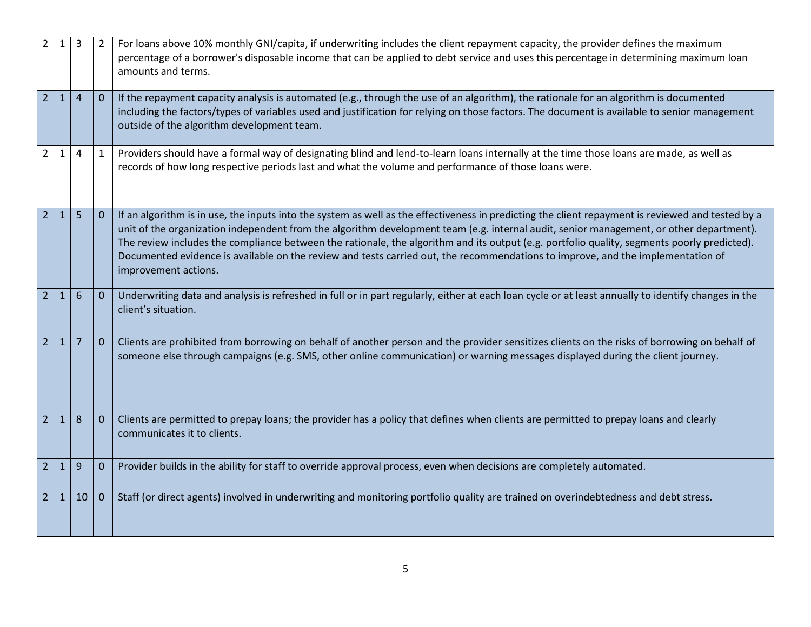| 2              |              |                 |              | For loans above 10% monthly GNI/capita, if underwriting includes the client repayment capacity, the provider defines the maximum<br>percentage of a borrower's disposable income that can be applied to debt service and uses this percentage in determining maximum loan<br>amounts and terms.                                                                                                                                                                                                                                                                                                        |
|----------------|--------------|-----------------|--------------|--------------------------------------------------------------------------------------------------------------------------------------------------------------------------------------------------------------------------------------------------------------------------------------------------------------------------------------------------------------------------------------------------------------------------------------------------------------------------------------------------------------------------------------------------------------------------------------------------------|
| $\overline{2}$ | $\mathbf{1}$ | $\overline{4}$  | $\mathbf 0$  | If the repayment capacity analysis is automated (e.g., through the use of an algorithm), the rationale for an algorithm is documented<br>including the factors/types of variables used and justification for relying on those factors. The document is available to senior management<br>outside of the algorithm development team.                                                                                                                                                                                                                                                                    |
| $2^{\circ}$    | $\mathbf{1}$ | 4               | $\mathbf{1}$ | Providers should have a formal way of designating blind and lend-to-learn loans internally at the time those loans are made, as well as<br>records of how long respective periods last and what the volume and performance of those loans were.                                                                                                                                                                                                                                                                                                                                                        |
| $\overline{2}$ | $\mathbf{1}$ | 5               | $\mathbf{0}$ | If an algorithm is in use, the inputs into the system as well as the effectiveness in predicting the client repayment is reviewed and tested by a<br>unit of the organization independent from the algorithm development team (e.g. internal audit, senior management, or other department).<br>The review includes the compliance between the rationale, the algorithm and its output (e.g. portfolio quality, segments poorly predicted).<br>Documented evidence is available on the review and tests carried out, the recommendations to improve, and the implementation of<br>improvement actions. |
| $\overline{2}$ | $\mathbf{1}$ | 6               | $\theta$     | Underwriting data and analysis is refreshed in full or in part regularly, either at each loan cycle or at least annually to identify changes in the<br>client's situation.                                                                                                                                                                                                                                                                                                                                                                                                                             |
| 2 <sup>1</sup> | $\mathbf{1}$ | 7               | $\mathbf 0$  | Clients are prohibited from borrowing on behalf of another person and the provider sensitizes clients on the risks of borrowing on behalf of<br>someone else through campaigns (e.g. SMS, other online communication) or warning messages displayed during the client journey.                                                                                                                                                                                                                                                                                                                         |
| $\overline{2}$ | $\mathbf{1}$ | 8               | $\mathbf 0$  | Clients are permitted to prepay loans; the provider has a policy that defines when clients are permitted to prepay loans and clearly<br>communicates it to clients.                                                                                                                                                                                                                                                                                                                                                                                                                                    |
| $\overline{2}$ | 1            | 9               | $\mathbf 0$  | Provider builds in the ability for staff to override approval process, even when decisions are completely automated.                                                                                                                                                                                                                                                                                                                                                                                                                                                                                   |
| $\overline{2}$ | 1            | 10 <sup>1</sup> | $\mathbf 0$  | Staff (or direct agents) involved in underwriting and monitoring portfolio quality are trained on overindebtedness and debt stress.                                                                                                                                                                                                                                                                                                                                                                                                                                                                    |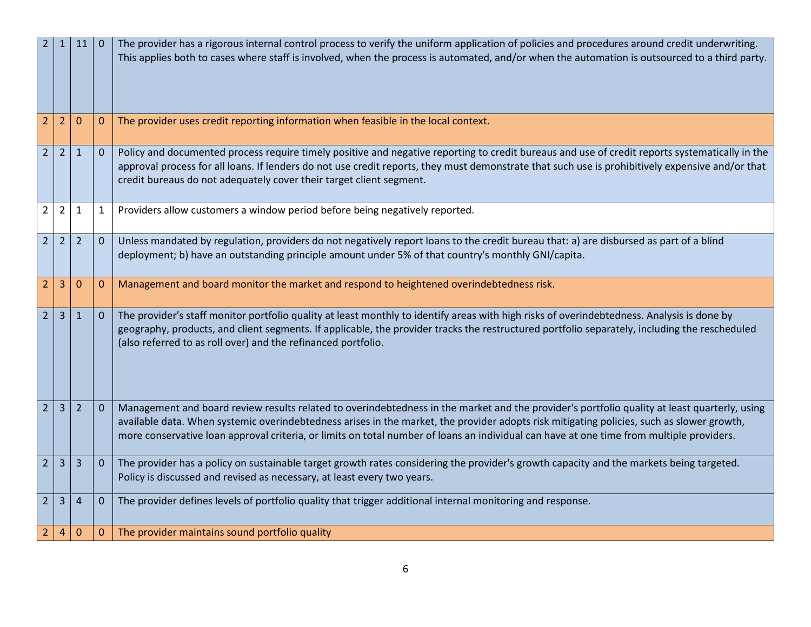| 2              |                | 11             |                | The provider has a rigorous internal control process to verify the uniform application of policies and procedures around credit underwriting.<br>This applies both to cases where staff is involved, when the process is automated, and/or when the automation is outsourced to a third party.                                                                                                                                        |
|----------------|----------------|----------------|----------------|---------------------------------------------------------------------------------------------------------------------------------------------------------------------------------------------------------------------------------------------------------------------------------------------------------------------------------------------------------------------------------------------------------------------------------------|
| $\overline{2}$ | 2              | $\mathbf 0$    | $\mathbf 0$    | The provider uses credit reporting information when feasible in the local context.                                                                                                                                                                                                                                                                                                                                                    |
| 2 <sup>1</sup> | $\overline{2}$ | $\mathbf{1}$   | $\mathbf{0}$   | Policy and documented process require timely positive and negative reporting to credit bureaus and use of credit reports systematically in the<br>approval process for all loans. If lenders do not use credit reports, they must demonstrate that such use is prohibitively expensive and/or that<br>credit bureaus do not adequately cover their target client segment.                                                             |
| $\overline{2}$ | $\overline{2}$ | 1              | $\mathbf{1}$   | Providers allow customers a window period before being negatively reported.                                                                                                                                                                                                                                                                                                                                                           |
| $\overline{2}$ | $\overline{2}$ | $\overline{2}$ | $\overline{0}$ | Unless mandated by regulation, providers do not negatively report loans to the credit bureau that: a) are disbursed as part of a blind<br>deployment; b) have an outstanding principle amount under 5% of that country's monthly GNI/capita.                                                                                                                                                                                          |
| $\overline{2}$ | 3              | $\mathbf 0$    | $\mathbf 0$    | Management and board monitor the market and respond to heightened overindebtedness risk.                                                                                                                                                                                                                                                                                                                                              |
| 2 <sup>1</sup> | $\overline{3}$ | $\mathbf{1}$   | $\mathbf 0$    | The provider's staff monitor portfolio quality at least monthly to identify areas with high risks of overindebtedness. Analysis is done by<br>geography, products, and client segments. If applicable, the provider tracks the restructured portfolio separately, including the rescheduled<br>(also referred to as roll over) and the refinanced portfolio.                                                                          |
| $\overline{2}$ | 3              | $\overline{2}$ | $\mathbf{0}$   | Management and board review results related to overindebtedness in the market and the provider's portfolio quality at least quarterly, using<br>available data. When systemic overindebtedness arises in the market, the provider adopts risk mitigating policies, such as slower growth,<br>more conservative loan approval criteria, or limits on total number of loans an individual can have at one time from multiple providers. |
| $\overline{2}$ | 3              | 3              | $\mathbf{0}$   | The provider has a policy on sustainable target growth rates considering the provider's growth capacity and the markets being targeted.<br>Policy is discussed and revised as necessary, at least every two years.                                                                                                                                                                                                                    |
| $\overline{2}$ | 3              | $\overline{4}$ | $\mathbf 0$    | The provider defines levels of portfolio quality that trigger additional internal monitoring and response.                                                                                                                                                                                                                                                                                                                            |
| 2              | 4              | $\mathbf 0$    | $\mathbf 0$    | The provider maintains sound portfolio quality                                                                                                                                                                                                                                                                                                                                                                                        |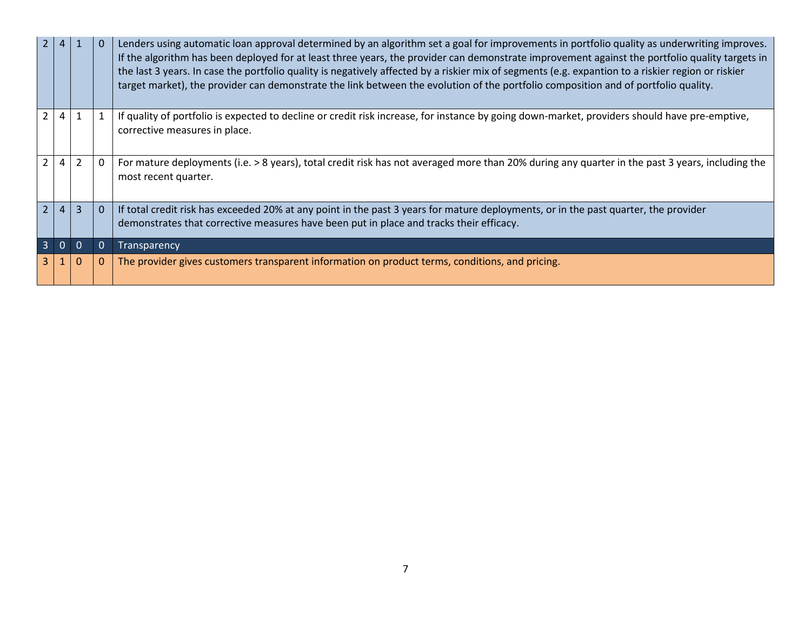|                | 2 4            |                |          | Lenders using automatic loan approval determined by an algorithm set a goal for improvements in portfolio quality as underwriting improves.<br>If the algorithm has been deployed for at least three years, the provider can demonstrate improvement against the portfolio quality targets in<br>the last 3 years. In case the portfolio quality is negatively affected by a riskier mix of segments (e.g. expantion to a riskier region or riskier<br>target market), the provider can demonstrate the link between the evolution of the portfolio composition and of portfolio quality. |
|----------------|----------------|----------------|----------|-------------------------------------------------------------------------------------------------------------------------------------------------------------------------------------------------------------------------------------------------------------------------------------------------------------------------------------------------------------------------------------------------------------------------------------------------------------------------------------------------------------------------------------------------------------------------------------------|
|                |                |                |          | If quality of portfolio is expected to decline or credit risk increase, for instance by going down-market, providers should have pre-emptive,<br>corrective measures in place.                                                                                                                                                                                                                                                                                                                                                                                                            |
| 2              |                | $\overline{2}$ | -0       | For mature deployments (i.e. > 8 years), total credit risk has not averaged more than 20% during any quarter in the past 3 years, including the<br>most recent quarter.                                                                                                                                                                                                                                                                                                                                                                                                                   |
| 2 <sup>1</sup> | $\overline{4}$ | $\overline{3}$ | $\Omega$ | If total credit risk has exceeded 20% at any point in the past 3 years for mature deployments, or in the past quarter, the provider<br>demonstrates that corrective measures have been put in place and tracks their efficacy.                                                                                                                                                                                                                                                                                                                                                            |
| $\overline{3}$ | 0              |                |          | Transparency                                                                                                                                                                                                                                                                                                                                                                                                                                                                                                                                                                              |
|                |                | $\Omega$       | $\Omega$ | The provider gives customers transparent information on product terms, conditions, and pricing.                                                                                                                                                                                                                                                                                                                                                                                                                                                                                           |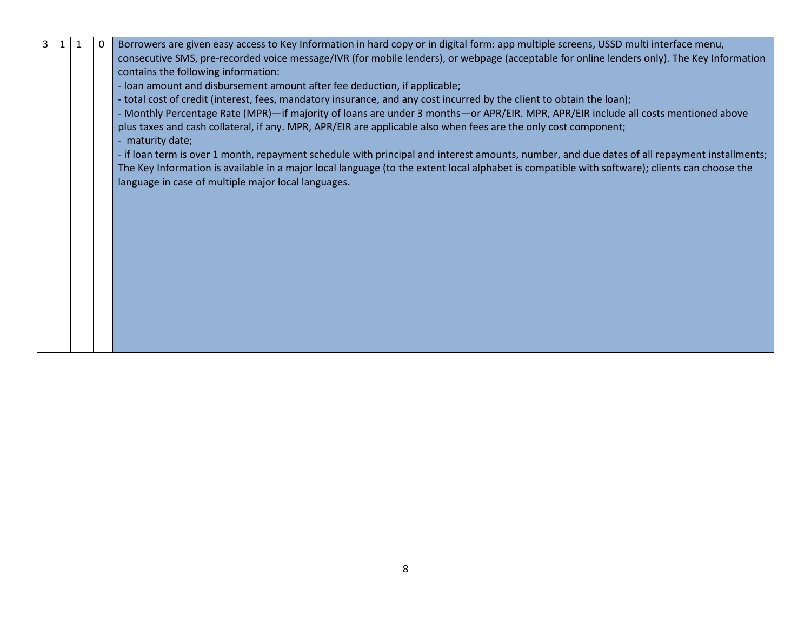| 3 |  | $\Omega$ | Borrowers are given easy access to Key Information in hard copy or in digital form: app multiple screens, USSD multi interface menu,<br>consecutive SMS, pre-recorded voice message/IVR (for mobile lenders), or webpage (acceptable for online lenders only). The Key Information<br>contains the following information: |
|---|--|----------|---------------------------------------------------------------------------------------------------------------------------------------------------------------------------------------------------------------------------------------------------------------------------------------------------------------------------|
|   |  |          | - loan amount and disbursement amount after fee deduction, if applicable;                                                                                                                                                                                                                                                 |
|   |  |          | - total cost of credit (interest, fees, mandatory insurance, and any cost incurred by the client to obtain the loan);                                                                                                                                                                                                     |
|   |  |          | - Monthly Percentage Rate (MPR)-if majority of loans are under 3 months-or APR/EIR. MPR, APR/EIR include all costs mentioned above                                                                                                                                                                                        |
|   |  |          | plus taxes and cash collateral, if any. MPR, APR/EIR are applicable also when fees are the only cost component;<br>- maturity date;                                                                                                                                                                                       |
|   |  |          | - if loan term is over 1 month, repayment schedule with principal and interest amounts, number, and due dates of all repayment installments;                                                                                                                                                                              |
|   |  |          | The Key Information is available in a major local language (to the extent local alphabet is compatible with software); clients can choose the                                                                                                                                                                             |
|   |  |          | language in case of multiple major local languages.                                                                                                                                                                                                                                                                       |
|   |  |          |                                                                                                                                                                                                                                                                                                                           |
|   |  |          |                                                                                                                                                                                                                                                                                                                           |
|   |  |          |                                                                                                                                                                                                                                                                                                                           |
|   |  |          |                                                                                                                                                                                                                                                                                                                           |
|   |  |          |                                                                                                                                                                                                                                                                                                                           |
|   |  |          |                                                                                                                                                                                                                                                                                                                           |
|   |  |          |                                                                                                                                                                                                                                                                                                                           |
|   |  |          |                                                                                                                                                                                                                                                                                                                           |
|   |  |          |                                                                                                                                                                                                                                                                                                                           |
|   |  |          |                                                                                                                                                                                                                                                                                                                           |
|   |  |          |                                                                                                                                                                                                                                                                                                                           |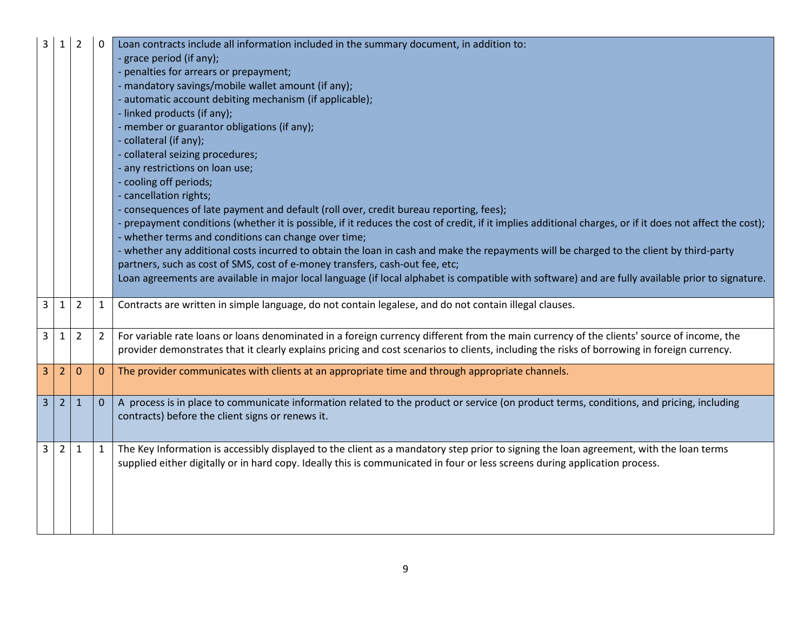| 3              |                | $\overline{2}$ | 0                | Loan contracts include all information included in the summary document, in addition to:                                                               |
|----------------|----------------|----------------|------------------|--------------------------------------------------------------------------------------------------------------------------------------------------------|
|                |                |                |                  | - grace period (if any);                                                                                                                               |
|                |                |                |                  | - penalties for arrears or prepayment;                                                                                                                 |
|                |                |                |                  | - mandatory savings/mobile wallet amount (if any);                                                                                                     |
|                |                |                |                  | - automatic account debiting mechanism (if applicable);                                                                                                |
|                |                |                |                  | - linked products (if any);                                                                                                                            |
|                |                |                |                  | - member or guarantor obligations (if any);                                                                                                            |
|                |                |                |                  | - collateral (if any);                                                                                                                                 |
|                |                |                |                  | - collateral seizing procedures;                                                                                                                       |
|                |                |                |                  | - any restrictions on loan use;                                                                                                                        |
|                |                |                |                  | - cooling off periods;                                                                                                                                 |
|                |                |                |                  | - cancellation rights;                                                                                                                                 |
|                |                |                |                  | consequences of late payment and default (roll over, credit bureau reporting, fees);                                                                   |
|                |                |                |                  | prepayment conditions (whether it is possible, if it reduces the cost of credit, if it implies additional charges, or if it does not affect the cost); |
|                |                |                |                  | - whether terms and conditions can change over time;                                                                                                   |
|                |                |                |                  | - whether any additional costs incurred to obtain the loan in cash and make the repayments will be charged to the client by third-party                |
|                |                |                |                  | partners, such as cost of SMS, cost of e-money transfers, cash-out fee, etc;                                                                           |
|                |                |                |                  | Loan agreements are available in major local language (if local alphabet is compatible with software) and are fully available prior to signature.      |
|                |                |                |                  |                                                                                                                                                        |
| $\mathbf{3}$   | $\mathbf{1}$   | $\overline{2}$ | 1                | Contracts are written in simple language, do not contain legalese, and do not contain illegal clauses.                                                 |
|                |                |                |                  |                                                                                                                                                        |
| $\mathbf{3}$   | 1              | $\overline{2}$ | $\overline{2}$   | For variable rate loans or loans denominated in a foreign currency different from the main currency of the clients' source of income, the              |
|                |                |                |                  | provider demonstrates that it clearly explains pricing and cost scenarios to clients, including the risks of borrowing in foreign currency.            |
|                | $\overline{2}$ | $\Omega$       |                  | The provider communicates with clients at an appropriate time and through appropriate channels.                                                        |
| 3              |                |                | $\boldsymbol{0}$ |                                                                                                                                                        |
|                |                |                |                  |                                                                                                                                                        |
| 3 <sup>7</sup> | 2              | $\mathbf{1}$   | $\mathbf{0}$     | A process is in place to communicate information related to the product or service (on product terms, conditions, and pricing, including               |
|                |                |                |                  | contracts) before the client signs or renews it.                                                                                                       |
|                |                |                |                  |                                                                                                                                                        |
| 3              | $\overline{2}$ | 1              | 1                | The Key Information is accessibly displayed to the client as a mandatory step prior to signing the loan agreement, with the loan terms                 |
|                |                |                |                  | supplied either digitally or in hard copy. Ideally this is communicated in four or less screens during application process.                            |
|                |                |                |                  |                                                                                                                                                        |
|                |                |                |                  |                                                                                                                                                        |
|                |                |                |                  |                                                                                                                                                        |
|                |                |                |                  |                                                                                                                                                        |
|                |                |                |                  |                                                                                                                                                        |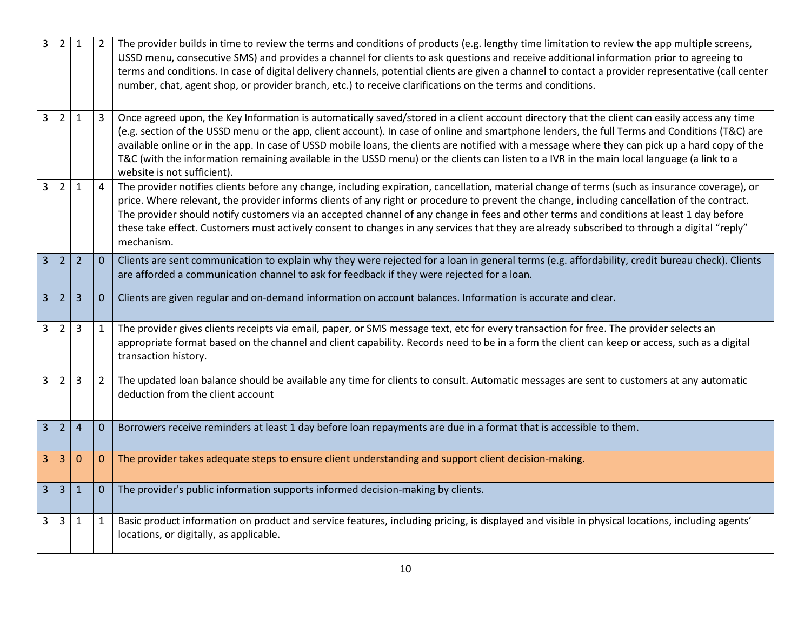| 3              | $\overline{2}$ | $\mathbf{1}$   |                | The provider builds in time to review the terms and conditions of products (e.g. lengthy time limitation to review the app multiple screens,<br>USSD menu, consecutive SMS) and provides a channel for clients to ask questions and receive additional information prior to agreeing to<br>terms and conditions. In case of digital delivery channels, potential clients are given a channel to contact a provider representative (call center<br>number, chat, agent shop, or provider branch, etc.) to receive clarifications on the terms and conditions.                                                                  |
|----------------|----------------|----------------|----------------|-------------------------------------------------------------------------------------------------------------------------------------------------------------------------------------------------------------------------------------------------------------------------------------------------------------------------------------------------------------------------------------------------------------------------------------------------------------------------------------------------------------------------------------------------------------------------------------------------------------------------------|
| $\overline{3}$ | $2^{\circ}$    | $\mathbf{1}$   | 3              | Once agreed upon, the Key Information is automatically saved/stored in a client account directory that the client can easily access any time<br>(e.g. section of the USSD menu or the app, client account). In case of online and smartphone lenders, the full Terms and Conditions (T&C) are<br>available online or in the app. In case of USSD mobile loans, the clients are notified with a message where they can pick up a hard copy of the<br>T&C (with the information remaining available in the USSD menu) or the clients can listen to a IVR in the main local language (a link to a<br>website is not sufficient). |
| $\overline{3}$ | $2^{\circ}$    | 1              | 4              | The provider notifies clients before any change, including expiration, cancellation, material change of terms (such as insurance coverage), or<br>price. Where relevant, the provider informs clients of any right or procedure to prevent the change, including cancellation of the contract.<br>The provider should notify customers via an accepted channel of any change in fees and other terms and conditions at least 1 day before<br>these take effect. Customers must actively consent to changes in any services that they are already subscribed to through a digital "reply"<br>mechanism.                        |
| 3 <sup>1</sup> | $\overline{2}$ | $\overline{2}$ | $\mathbf{0}$   | Clients are sent communication to explain why they were rejected for a loan in general terms (e.g. affordability, credit bureau check). Clients<br>are afforded a communication channel to ask for feedback if they were rejected for a loan.                                                                                                                                                                                                                                                                                                                                                                                 |
| 3 <sup>1</sup> | $\overline{2}$ | $\overline{3}$ | $\mathbf{0}$   | Clients are given regular and on-demand information on account balances. Information is accurate and clear.                                                                                                                                                                                                                                                                                                                                                                                                                                                                                                                   |
| 3              | $\overline{2}$ | 3              | $\mathbf{1}$   | The provider gives clients receipts via email, paper, or SMS message text, etc for every transaction for free. The provider selects an<br>appropriate format based on the channel and client capability. Records need to be in a form the client can keep or access, such as a digital<br>transaction history.                                                                                                                                                                                                                                                                                                                |
| $\overline{3}$ | $2^{\circ}$    | $\overline{3}$ | $\overline{2}$ | The updated loan balance should be available any time for clients to consult. Automatic messages are sent to customers at any automatic<br>deduction from the client account                                                                                                                                                                                                                                                                                                                                                                                                                                                  |
| 3 <sup>1</sup> | 2 <sup>1</sup> | $\overline{4}$ | $\mathbf 0$    | Borrowers receive reminders at least 1 day before loan repayments are due in a format that is accessible to them.                                                                                                                                                                                                                                                                                                                                                                                                                                                                                                             |
| 3              | 3              | $\mathbf{0}$   | $\mathbf{0}$   | The provider takes adequate steps to ensure client understanding and support client decision-making.                                                                                                                                                                                                                                                                                                                                                                                                                                                                                                                          |
| 3 <sup>1</sup> | $\overline{3}$ | $\mathbf{1}$   | $\mathbf{0}$   | The provider's public information supports informed decision-making by clients.                                                                                                                                                                                                                                                                                                                                                                                                                                                                                                                                               |
| $\mathbf{3}$   | 3              | $\mathbf{1}$   | $\mathbf{1}$   | Basic product information on product and service features, including pricing, is displayed and visible in physical locations, including agents'<br>locations, or digitally, as applicable.                                                                                                                                                                                                                                                                                                                                                                                                                                    |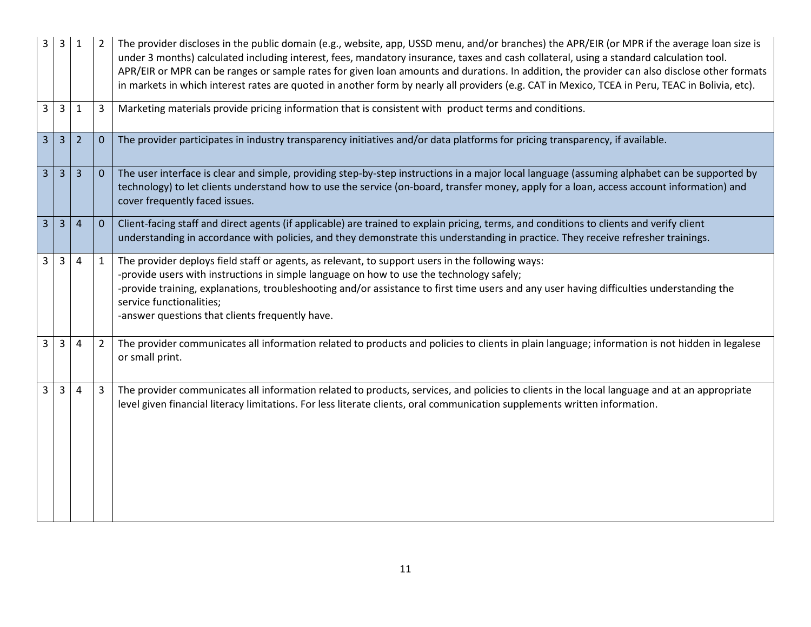| 3<br>3                           | $\mathbf{1}$   | $\overline{2}$ | The provider discloses in the public domain (e.g., website, app, USSD menu, and/or branches) the APR/EIR (or MPR if the average loan size is<br>under 3 months) calculated including interest, fees, mandatory insurance, taxes and cash collateral, using a standard calculation tool.<br>APR/EIR or MPR can be ranges or sample rates for given loan amounts and durations. In addition, the provider can also disclose other formats<br>in markets in which interest rates are quoted in another form by nearly all providers (e.g. CAT in Mexico, TCEA in Peru, TEAC in Bolivia, etc). |
|----------------------------------|----------------|----------------|--------------------------------------------------------------------------------------------------------------------------------------------------------------------------------------------------------------------------------------------------------------------------------------------------------------------------------------------------------------------------------------------------------------------------------------------------------------------------------------------------------------------------------------------------------------------------------------------|
| $\overline{3}$<br>3              | 1              | 3              | Marketing materials provide pricing information that is consistent with product terms and conditions.                                                                                                                                                                                                                                                                                                                                                                                                                                                                                      |
| 3 <sup>1</sup><br>$\overline{3}$ | $\overline{2}$ | $\mathbf 0$    | The provider participates in industry transparency initiatives and/or data platforms for pricing transparency, if available.                                                                                                                                                                                                                                                                                                                                                                                                                                                               |
| 3<br>3                           | 3              | $\mathbf{0}$   | The user interface is clear and simple, providing step-by-step instructions in a major local language (assuming alphabet can be supported by<br>technology) to let clients understand how to use the service (on-board, transfer money, apply for a loan, access account information) and<br>cover frequently faced issues.                                                                                                                                                                                                                                                                |
| 3<br>3                           | $\overline{4}$ | $\theta$       | Client-facing staff and direct agents (if applicable) are trained to explain pricing, terms, and conditions to clients and verify client<br>understanding in accordance with policies, and they demonstrate this understanding in practice. They receive refresher trainings.                                                                                                                                                                                                                                                                                                              |
| 3<br>3                           | 4              | 1              | The provider deploys field staff or agents, as relevant, to support users in the following ways:<br>-provide users with instructions in simple language on how to use the technology safely;<br>-provide training, explanations, troubleshooting and/or assistance to first time users and any user having difficulties understanding the<br>service functionalities;<br>-answer questions that clients frequently have.                                                                                                                                                                   |
| $\mathbf{3}$<br>3                | 4              | $\overline{2}$ | The provider communicates all information related to products and policies to clients in plain language; information is not hidden in legalese<br>or small print.                                                                                                                                                                                                                                                                                                                                                                                                                          |
| 3<br>3                           | 4              | 3              | The provider communicates all information related to products, services, and policies to clients in the local language and at an appropriate<br>level given financial literacy limitations. For less literate clients, oral communication supplements written information.                                                                                                                                                                                                                                                                                                                 |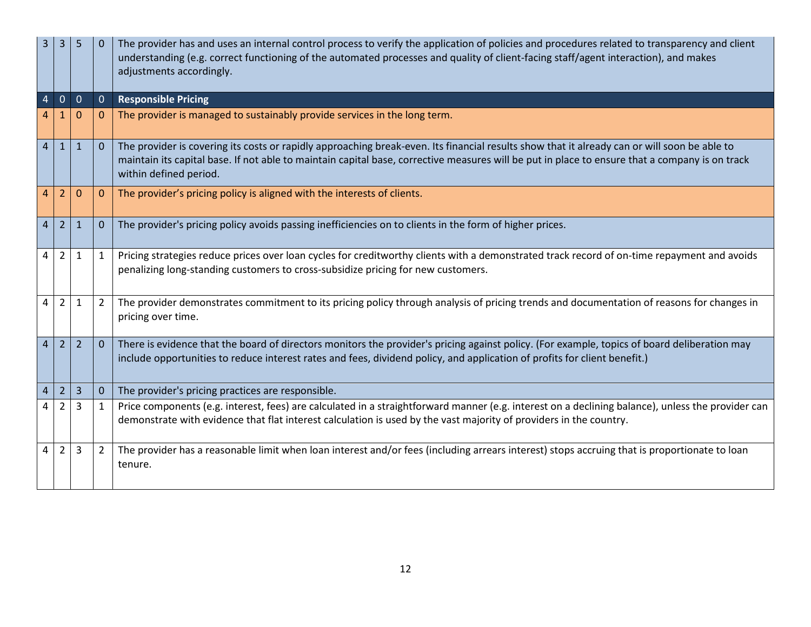| 3              | 3              | 5              |                | The provider has and uses an internal control process to verify the application of policies and procedures related to transparency and client<br>understanding (e.g. correct functioning of the automated processes and quality of client-facing staff/agent interaction), and makes<br>adjustments accordingly.         |
|----------------|----------------|----------------|----------------|--------------------------------------------------------------------------------------------------------------------------------------------------------------------------------------------------------------------------------------------------------------------------------------------------------------------------|
| 4              | $\overline{0}$ | $\overline{0}$ | $\overline{0}$ | <b>Responsible Pricing</b>                                                                                                                                                                                                                                                                                               |
|                |                | $\Omega$       | $\Omega$       | The provider is managed to sustainably provide services in the long term.                                                                                                                                                                                                                                                |
| $\overline{4}$ | $\mathbf{1}$   | $\mathbf{1}$   | $\mathbf{0}$   | The provider is covering its costs or rapidly approaching break-even. Its financial results show that it already can or will soon be able to<br>maintain its capital base. If not able to maintain capital base, corrective measures will be put in place to ensure that a company is on track<br>within defined period. |
| 4              | $\overline{2}$ | 0              | $\mathbf{0}$   | The provider's pricing policy is aligned with the interests of clients.                                                                                                                                                                                                                                                  |
| 4              | $\overline{2}$ | $\mathbf{1}$   | $\Omega$       | The provider's pricing policy avoids passing inefficiencies on to clients in the form of higher prices.                                                                                                                                                                                                                  |
| 4              | $\overline{2}$ | 1              | $\mathbf{1}$   | Pricing strategies reduce prices over loan cycles for creditworthy clients with a demonstrated track record of on-time repayment and avoids<br>penalizing long-standing customers to cross-subsidize pricing for new customers.                                                                                          |
| 4              | $\overline{2}$ | $\mathbf{1}$   | $\overline{2}$ | The provider demonstrates commitment to its pricing policy through analysis of pricing trends and documentation of reasons for changes in<br>pricing over time.                                                                                                                                                          |
| $\overline{4}$ | $\overline{2}$ | $\overline{2}$ | $\Omega$       | There is evidence that the board of directors monitors the provider's pricing against policy. (For example, topics of board deliberation may<br>include opportunities to reduce interest rates and fees, dividend policy, and application of profits for client benefit.)                                                |
| 4              | $\overline{2}$ | $\overline{3}$ | $\overline{0}$ | The provider's pricing practices are responsible.                                                                                                                                                                                                                                                                        |
|                | 2              | 3              | 1              | Price components (e.g. interest, fees) are calculated in a straightforward manner (e.g. interest on a declining balance), unless the provider can<br>demonstrate with evidence that flat interest calculation is used by the vast majority of providers in the country.                                                  |
| 4              | $\overline{2}$ | 3              | 2              | The provider has a reasonable limit when loan interest and/or fees (including arrears interest) stops accruing that is proportionate to loan<br>tenure.                                                                                                                                                                  |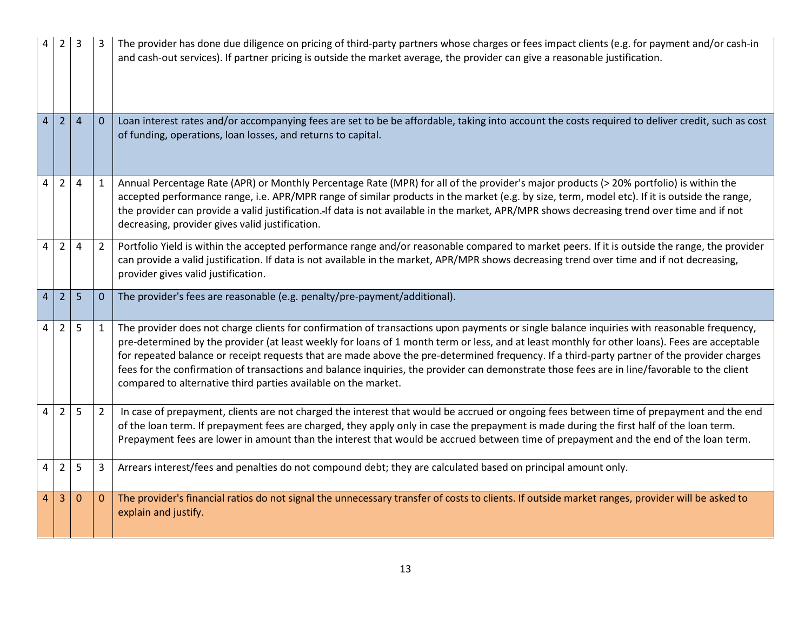| 4              |                |                |                | The provider has done due diligence on pricing of third-party partners whose charges or fees impact clients (e.g. for payment and/or cash-in<br>and cash-out services). If partner pricing is outside the market average, the provider can give a reasonable justification.                                                                                                                                                                                                                                                                                                                                                                                  |
|----------------|----------------|----------------|----------------|--------------------------------------------------------------------------------------------------------------------------------------------------------------------------------------------------------------------------------------------------------------------------------------------------------------------------------------------------------------------------------------------------------------------------------------------------------------------------------------------------------------------------------------------------------------------------------------------------------------------------------------------------------------|
| $\overline{4}$ | $\overline{2}$ | $\overline{4}$ | $\mathbf{0}$   | Loan interest rates and/or accompanying fees are set to be be affordable, taking into account the costs required to deliver credit, such as cost<br>of funding, operations, loan losses, and returns to capital.                                                                                                                                                                                                                                                                                                                                                                                                                                             |
| 4              | $\overline{2}$ | 4              | 1              | Annual Percentage Rate (APR) or Monthly Percentage Rate (MPR) for all of the provider's major products (> 20% portfolio) is within the<br>accepted performance range, i.e. APR/MPR range of similar products in the market (e.g. by size, term, model etc). If it is outside the range,<br>the provider can provide a valid justification. If data is not available in the market, APR/MPR shows decreasing trend over time and if not<br>decreasing, provider gives valid justification.                                                                                                                                                                    |
| $\overline{4}$ | $\overline{2}$ | 4              | $\overline{2}$ | Portfolio Yield is within the accepted performance range and/or reasonable compared to market peers. If it is outside the range, the provider<br>can provide a valid justification. If data is not available in the market, APR/MPR shows decreasing trend over time and if not decreasing,<br>provider gives valid justification.                                                                                                                                                                                                                                                                                                                           |
| 4              | $\overline{2}$ | 5              | $\mathbf{0}$   | The provider's fees are reasonable (e.g. penalty/pre-payment/additional).                                                                                                                                                                                                                                                                                                                                                                                                                                                                                                                                                                                    |
| $\overline{4}$ | $\overline{2}$ | 5              | $\mathbf{1}$   | The provider does not charge clients for confirmation of transactions upon payments or single balance inquiries with reasonable frequency,<br>pre-determined by the provider (at least weekly for loans of 1 month term or less, and at least monthly for other loans). Fees are acceptable<br>for repeated balance or receipt requests that are made above the pre-determined frequency. If a third-party partner of the provider charges<br>fees for the confirmation of transactions and balance inquiries, the provider can demonstrate those fees are in line/favorable to the client<br>compared to alternative third parties available on the market. |
| 4              | $\overline{2}$ | 5              | $\overline{2}$ | In case of prepayment, clients are not charged the interest that would be accrued or ongoing fees between time of prepayment and the end<br>of the loan term. If prepayment fees are charged, they apply only in case the prepayment is made during the first half of the loan term.<br>Prepayment fees are lower in amount than the interest that would be accrued between time of prepayment and the end of the loan term.                                                                                                                                                                                                                                 |
| $\overline{4}$ | $\overline{2}$ | 5              | 3              | Arrears interest/fees and penalties do not compound debt; they are calculated based on principal amount only.                                                                                                                                                                                                                                                                                                                                                                                                                                                                                                                                                |
| 4              | 3              | $\mathbf{0}$   | $\mathbf{0}$   | The provider's financial ratios do not signal the unnecessary transfer of costs to clients. If outside market ranges, provider will be asked to<br>explain and justify.                                                                                                                                                                                                                                                                                                                                                                                                                                                                                      |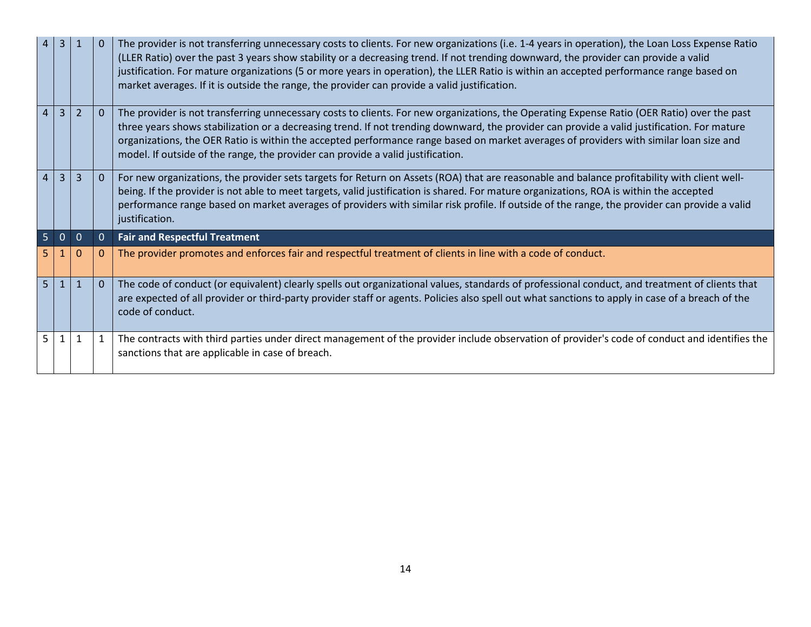| 4              | $\overline{3}$ |                |          | The provider is not transferring unnecessary costs to clients. For new organizations (i.e. 1-4 years in operation), the Loan Loss Expense Ratio<br>(LLER Ratio) over the past 3 years show stability or a decreasing trend. If not trending downward, the provider can provide a valid<br>justification. For mature organizations (5 or more years in operation), the LLER Ratio is within an accepted performance range based on<br>market averages. If it is outside the range, the provider can provide a valid justification. |
|----------------|----------------|----------------|----------|-----------------------------------------------------------------------------------------------------------------------------------------------------------------------------------------------------------------------------------------------------------------------------------------------------------------------------------------------------------------------------------------------------------------------------------------------------------------------------------------------------------------------------------|
| $\overline{4}$ |                | $\overline{2}$ | $\Omega$ | The provider is not transferring unnecessary costs to clients. For new organizations, the Operating Expense Ratio (OER Ratio) over the past<br>three years shows stabilization or a decreasing trend. If not trending downward, the provider can provide a valid justification. For mature<br>organizations, the OER Ratio is within the accepted performance range based on market averages of providers with similar loan size and<br>model. If outside of the range, the provider can provide a valid justification.           |
| $\overline{4}$ |                |                | 0        | For new organizations, the provider sets targets for Return on Assets (ROA) that are reasonable and balance profitability with client well-<br>being. If the provider is not able to meet targets, valid justification is shared. For mature organizations, ROA is within the accepted<br>performance range based on market averages of providers with similar risk profile. If outside of the range, the provider can provide a valid<br>justification.                                                                          |
| 5 <sup>1</sup> | $\mathbf 0$    | $\Omega$       | 0        | <b>Fair and Respectful Treatment</b>                                                                                                                                                                                                                                                                                                                                                                                                                                                                                              |
|                |                |                | 0        | The provider promotes and enforces fair and respectful treatment of clients in line with a code of conduct.                                                                                                                                                                                                                                                                                                                                                                                                                       |
| 5 <sup>1</sup> | -1             | $\mathbf{1}$   | $\Omega$ | The code of conduct (or equivalent) clearly spells out organizational values, standards of professional conduct, and treatment of clients that<br>are expected of all provider or third-party provider staff or agents. Policies also spell out what sanctions to apply in case of a breach of the<br>code of conduct.                                                                                                                                                                                                            |
| 5.             |                |                |          | The contracts with third parties under direct management of the provider include observation of provider's code of conduct and identifies the<br>sanctions that are applicable in case of breach.                                                                                                                                                                                                                                                                                                                                 |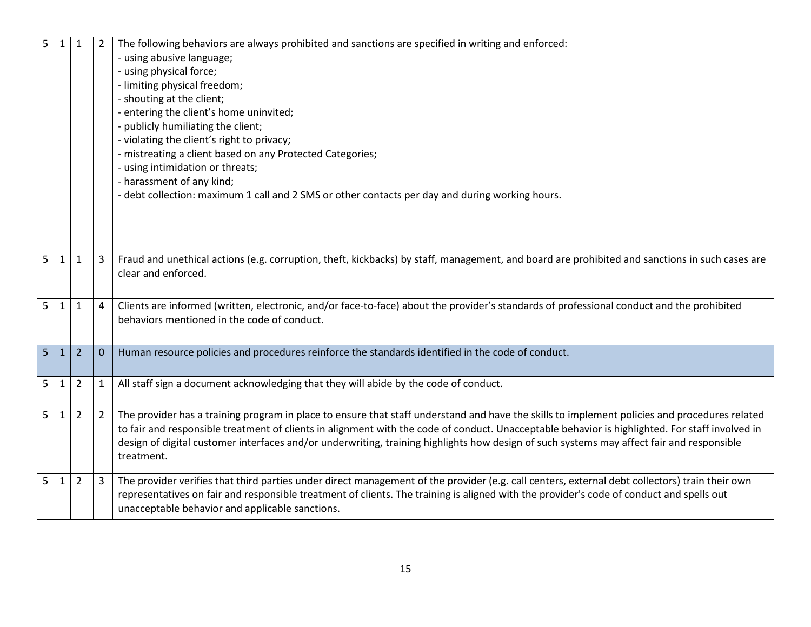| 5              | 1            | 1              |                | The following behaviors are always prohibited and sanctions are specified in writing and enforced:<br>- using abusive language;<br>- using physical force;<br>- limiting physical freedom;<br>- shouting at the client;<br>- entering the client's home uninvited;<br>- publicly humiliating the client;<br>- violating the client's right to privacy;<br>- mistreating a client based on any Protected Categories;<br>- using intimidation or threats;<br>- harassment of any kind;<br>- debt collection: maximum 1 call and 2 SMS or other contacts per day and during working hours. |
|----------------|--------------|----------------|----------------|-----------------------------------------------------------------------------------------------------------------------------------------------------------------------------------------------------------------------------------------------------------------------------------------------------------------------------------------------------------------------------------------------------------------------------------------------------------------------------------------------------------------------------------------------------------------------------------------|
| 5              | 1            | $\mathbf{1}$   | 3              | Fraud and unethical actions (e.g. corruption, theft, kickbacks) by staff, management, and board are prohibited and sanctions in such cases are<br>clear and enforced.                                                                                                                                                                                                                                                                                                                                                                                                                   |
| 5 <sup>1</sup> | $\mathbf{1}$ | 1              | 4              | Clients are informed (written, electronic, and/or face-to-face) about the provider's standards of professional conduct and the prohibited<br>behaviors mentioned in the code of conduct.                                                                                                                                                                                                                                                                                                                                                                                                |
| 5 <sup>1</sup> | $\mathbf{1}$ | $\overline{2}$ | $\mathbf 0$    | Human resource policies and procedures reinforce the standards identified in the code of conduct.                                                                                                                                                                                                                                                                                                                                                                                                                                                                                       |
| 5              | 1            | $\overline{2}$ | $\mathbf{1}$   | All staff sign a document acknowledging that they will abide by the code of conduct.                                                                                                                                                                                                                                                                                                                                                                                                                                                                                                    |
| 5              | $\mathbf{1}$ | $\overline{2}$ | $\overline{2}$ | The provider has a training program in place to ensure that staff understand and have the skills to implement policies and procedures related<br>to fair and responsible treatment of clients in alignment with the code of conduct. Unacceptable behavior is highlighted. For staff involved in<br>design of digital customer interfaces and/or underwriting, training highlights how design of such systems may affect fair and responsible<br>treatment.                                                                                                                             |
| 5              | $\mathbf{1}$ | $\overline{2}$ | 3              | The provider verifies that third parties under direct management of the provider (e.g. call centers, external debt collectors) train their own<br>representatives on fair and responsible treatment of clients. The training is aligned with the provider's code of conduct and spells out<br>unacceptable behavior and applicable sanctions.                                                                                                                                                                                                                                           |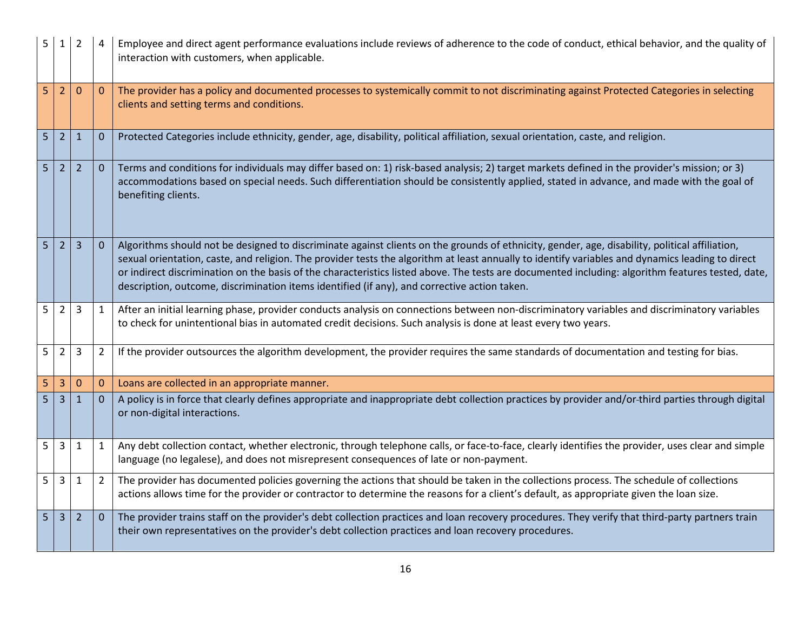| 5 | 1              | $\overline{2}$ |                | Employee and direct agent performance evaluations include reviews of adherence to the code of conduct, ethical behavior, and the quality of<br>interaction with customers, when applicable.                                                                                                                                                                                                                                                                                                                                                             |
|---|----------------|----------------|----------------|---------------------------------------------------------------------------------------------------------------------------------------------------------------------------------------------------------------------------------------------------------------------------------------------------------------------------------------------------------------------------------------------------------------------------------------------------------------------------------------------------------------------------------------------------------|
| 5 | 2              | 0              | 0              | The provider has a policy and documented processes to systemically commit to not discriminating against Protected Categories in selecting<br>clients and setting terms and conditions.                                                                                                                                                                                                                                                                                                                                                                  |
| 5 | $\overline{2}$ | $\mathbf{1}$   | $\mathbf{0}$   | Protected Categories include ethnicity, gender, age, disability, political affiliation, sexual orientation, caste, and religion.                                                                                                                                                                                                                                                                                                                                                                                                                        |
| 5 | $\overline{2}$ | $\overline{2}$ | $\mathbf{0}$   | Terms and conditions for individuals may differ based on: 1) risk-based analysis; 2) target markets defined in the provider's mission; or 3)<br>accommodations based on special needs. Such differentiation should be consistently applied, stated in advance, and made with the goal of<br>benefiting clients.                                                                                                                                                                                                                                         |
| 5 | 2              | 3              | $\mathbf{0}$   | Algorithms should not be designed to discriminate against clients on the grounds of ethnicity, gender, age, disability, political affiliation,<br>sexual orientation, caste, and religion. The provider tests the algorithm at least annually to identify variables and dynamics leading to direct<br>or indirect discrimination on the basis of the characteristics listed above. The tests are documented including: algorithm features tested, date,<br>description, outcome, discrimination items identified (if any), and corrective action taken. |
| 5 | $\overline{2}$ | 3              | 1              | After an initial learning phase, provider conducts analysis on connections between non-discriminatory variables and discriminatory variables<br>to check for unintentional bias in automated credit decisions. Such analysis is done at least every two years.                                                                                                                                                                                                                                                                                          |
| 5 | $\overline{2}$ | 3              | 2              | If the provider outsources the algorithm development, the provider requires the same standards of documentation and testing for bias.                                                                                                                                                                                                                                                                                                                                                                                                                   |
| 5 | $\overline{3}$ | $\mathbf 0$    | $\mathbf{0}$   | Loans are collected in an appropriate manner.                                                                                                                                                                                                                                                                                                                                                                                                                                                                                                           |
| 5 | 3              | $\mathbf{1}$   | $\Omega$       | A policy is in force that clearly defines appropriate and inappropriate debt collection practices by provider and/or-third parties through digital<br>or non-digital interactions.                                                                                                                                                                                                                                                                                                                                                                      |
| 5 | 3              | 1              | $\mathbf{1}$   | Any debt collection contact, whether electronic, through telephone calls, or face-to-face, clearly identifies the provider, uses clear and simple<br>language (no legalese), and does not misrepresent consequences of late or non-payment.                                                                                                                                                                                                                                                                                                             |
| 5 | $\overline{3}$ | 1              | $\overline{2}$ | The provider has documented policies governing the actions that should be taken in the collections process. The schedule of collections<br>actions allows time for the provider or contractor to determine the reasons for a client's default, as appropriate given the loan size.                                                                                                                                                                                                                                                                      |
| 5 | $\overline{3}$ | $\overline{2}$ | $\mathbf{0}$   | The provider trains staff on the provider's debt collection practices and loan recovery procedures. They verify that third-party partners train<br>their own representatives on the provider's debt collection practices and loan recovery procedures.                                                                                                                                                                                                                                                                                                  |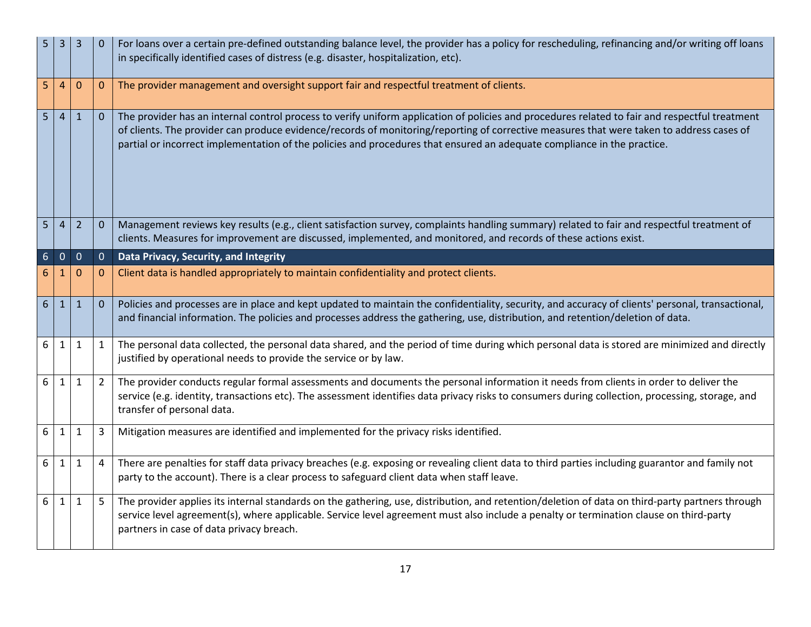| 5               | 3                                | 3              |              | For loans over a certain pre-defined outstanding balance level, the provider has a policy for rescheduling, refinancing and/or writing off loans<br>in specifically identified cases of distress (e.g. disaster, hospitalization, etc).                                                                                                                                                                               |
|-----------------|----------------------------------|----------------|--------------|-----------------------------------------------------------------------------------------------------------------------------------------------------------------------------------------------------------------------------------------------------------------------------------------------------------------------------------------------------------------------------------------------------------------------|
| 5               | 4                                | 0              | 0            | The provider management and oversight support fair and respectful treatment of clients.                                                                                                                                                                                                                                                                                                                               |
|                 | 5 <sup>1</sup><br>$\overline{4}$ | $\mathbf{1}$   | $\mathbf 0$  | The provider has an internal control process to verify uniform application of policies and procedures related to fair and respectful treatment<br>of clients. The provider can produce evidence/records of monitoring/reporting of corrective measures that were taken to address cases of<br>partial or incorrect implementation of the policies and procedures that ensured an adequate compliance in the practice. |
| 5 <sup>1</sup>  | $\overline{4}$                   | $\overline{2}$ | $\mathbf{0}$ | Management reviews key results (e.g., client satisfaction survey, complaints handling summary) related to fair and respectful treatment of<br>clients. Measures for improvement are discussed, implemented, and monitored, and records of these actions exist.                                                                                                                                                        |
| $6\phantom{1}6$ | $\mathbf 0$                      | $\mathbf 0$    | $\mathbf{0}$ | Data Privacy, Security, and Integrity                                                                                                                                                                                                                                                                                                                                                                                 |
| 6               | 1                                | 0              | $\mathbf{0}$ | Client data is handled appropriately to maintain confidentiality and protect clients.                                                                                                                                                                                                                                                                                                                                 |
| 6 <sup>1</sup>  | 1                                | $\mathbf{1}$   | $\mathbf{0}$ | Policies and processes are in place and kept updated to maintain the confidentiality, security, and accuracy of clients' personal, transactional,<br>and financial information. The policies and processes address the gathering, use, distribution, and retention/deletion of data.                                                                                                                                  |
| 6               | 1                                | $\mathbf{1}$   | 1            | The personal data collected, the personal data shared, and the period of time during which personal data is stored are minimized and directly<br>justified by operational needs to provide the service or by law.                                                                                                                                                                                                     |
| 6               | 1                                | $\mathbf{1}$   | 2            | The provider conducts regular formal assessments and documents the personal information it needs from clients in order to deliver the<br>service (e.g. identity, transactions etc). The assessment identifies data privacy risks to consumers during collection, processing, storage, and<br>transfer of personal data.                                                                                               |
| 6 <sup>1</sup>  | 1                                | $\mathbf{1}$   | 3            | Mitigation measures are identified and implemented for the privacy risks identified.                                                                                                                                                                                                                                                                                                                                  |
| 6               | 1                                | $\mathbf{1}$   | 4            | There are penalties for staff data privacy breaches (e.g. exposing or revealing client data to third parties including guarantor and family not<br>party to the account). There is a clear process to safeguard client data when staff leave.                                                                                                                                                                         |
| 6               | $\mathbf{1}$                     | $\mathbf{1}$   | 5            | The provider applies its internal standards on the gathering, use, distribution, and retention/deletion of data on third-party partners through<br>service level agreement(s), where applicable. Service level agreement must also include a penalty or termination clause on third-party<br>partners in case of data privacy breach.                                                                                 |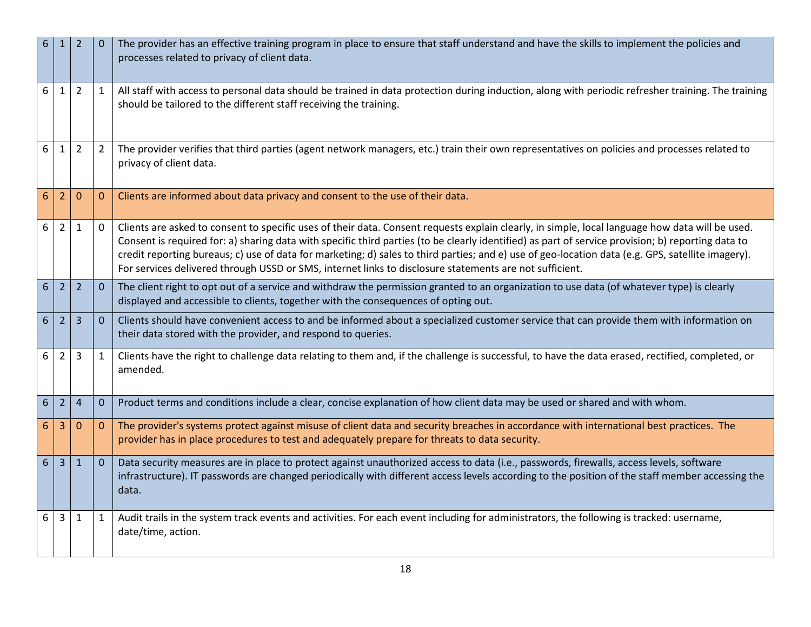| 6 | $\mathbf{1}$   | $\overline{2}$   |                | The provider has an effective training program in place to ensure that staff understand and have the skills to implement the policies and<br>processes related to privacy of client data.                                                                                                                                                                                                                                                                                                                                                                             |
|---|----------------|------------------|----------------|-----------------------------------------------------------------------------------------------------------------------------------------------------------------------------------------------------------------------------------------------------------------------------------------------------------------------------------------------------------------------------------------------------------------------------------------------------------------------------------------------------------------------------------------------------------------------|
| 6 | 1              | 2                | 1              | All staff with access to personal data should be trained in data protection during induction, along with periodic refresher training. The training<br>should be tailored to the different staff receiving the training.                                                                                                                                                                                                                                                                                                                                               |
| 6 | 1              | $\overline{2}$   | $\overline{2}$ | The provider verifies that third parties (agent network managers, etc.) train their own representatives on policies and processes related to<br>privacy of client data.                                                                                                                                                                                                                                                                                                                                                                                               |
| 6 | 2              | $\mathbf 0$      | $\mathbf{0}$   | Clients are informed about data privacy and consent to the use of their data.                                                                                                                                                                                                                                                                                                                                                                                                                                                                                         |
| 6 | $\overline{2}$ | 1                | 0              | Clients are asked to consent to specific uses of their data. Consent requests explain clearly, in simple, local language how data will be used.<br>Consent is required for: a) sharing data with specific third parties (to be clearly identified) as part of service provision; b) reporting data to<br>credit reporting bureaus; c) use of data for marketing; d) sales to third parties; and e) use of geo-location data (e.g. GPS, satellite imagery).<br>For services delivered through USSD or SMS, internet links to disclosure statements are not sufficient. |
| 6 | $\overline{2}$ | $\overline{2}$   | $\mathbf{0}$   | The client right to opt out of a service and withdraw the permission granted to an organization to use data (of whatever type) is clearly<br>displayed and accessible to clients, together with the consequences of opting out.                                                                                                                                                                                                                                                                                                                                       |
| 6 | 2              | 3                | $\overline{0}$ | Clients should have convenient access to and be informed about a specialized customer service that can provide them with information on<br>their data stored with the provider, and respond to queries.                                                                                                                                                                                                                                                                                                                                                               |
| 6 | 2              | 3                | 1              | Clients have the right to challenge data relating to them and, if the challenge is successful, to have the data erased, rectified, completed, or<br>amended.                                                                                                                                                                                                                                                                                                                                                                                                          |
| 6 | $\overline{2}$ | $\overline{4}$   | $\mathbf{0}$   | Product terms and conditions include a clear, concise explanation of how client data may be used or shared and with whom.                                                                                                                                                                                                                                                                                                                                                                                                                                             |
| 6 | 3              | $\boldsymbol{0}$ | $\mathbf{0}$   | The provider's systems protect against misuse of client data and security breaches in accordance with international best practices. The<br>provider has in place procedures to test and adequately prepare for threats to data security.                                                                                                                                                                                                                                                                                                                              |
| 6 | 3              | $\mathbf{1}$     | $\overline{0}$ | Data security measures are in place to protect against unauthorized access to data (i.e., passwords, firewalls, access levels, software<br>infrastructure). IT passwords are changed periodically with different access levels according to the position of the staff member accessing the<br>data.                                                                                                                                                                                                                                                                   |
| 6 | 3              | 1                | $\mathbf{1}$   | Audit trails in the system track events and activities. For each event including for administrators, the following is tracked: username,<br>date/time, action.                                                                                                                                                                                                                                                                                                                                                                                                        |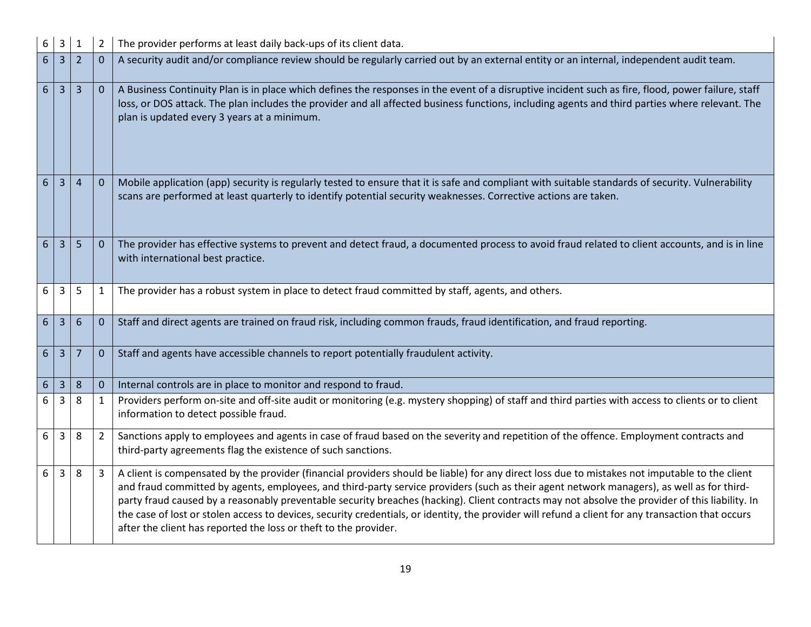| 6              | $\mathsf{3}$   | $\mathbf{1}$   | $\overline{2}$ | The provider performs at least daily back-ups of its client data.                                                                                                                                                                                                                                                                                                                                                                                                                                                                                                                                                                                                        |
|----------------|----------------|----------------|----------------|--------------------------------------------------------------------------------------------------------------------------------------------------------------------------------------------------------------------------------------------------------------------------------------------------------------------------------------------------------------------------------------------------------------------------------------------------------------------------------------------------------------------------------------------------------------------------------------------------------------------------------------------------------------------------|
| 6              | $\overline{3}$ | 2              | $\mathbf{0}$   | A security audit and/or compliance review should be regularly carried out by an external entity or an internal, independent audit team.                                                                                                                                                                                                                                                                                                                                                                                                                                                                                                                                  |
| 6              | $\overline{3}$ | 3              | $\mathbf 0$    | A Business Continuity Plan is in place which defines the responses in the event of a disruptive incident such as fire, flood, power failure, staff<br>loss, or DOS attack. The plan includes the provider and all affected business functions, including agents and third parties where relevant. The<br>plan is updated every 3 years at a minimum.                                                                                                                                                                                                                                                                                                                     |
| $6\phantom{1}$ | 3              | $\overline{4}$ | $\mathbf 0$    | Mobile application (app) security is regularly tested to ensure that it is safe and compliant with suitable standards of security. Vulnerability<br>scans are performed at least quarterly to identify potential security weaknesses. Corrective actions are taken.                                                                                                                                                                                                                                                                                                                                                                                                      |
| $6\phantom{1}$ | 3              | 5              | $\mathbf 0$    | The provider has effective systems to prevent and detect fraud, a documented process to avoid fraud related to client accounts, and is in line<br>with international best practice.                                                                                                                                                                                                                                                                                                                                                                                                                                                                                      |
| 6              | 3              | 5              | 1              | The provider has a robust system in place to detect fraud committed by staff, agents, and others.                                                                                                                                                                                                                                                                                                                                                                                                                                                                                                                                                                        |
| $6\phantom{.}$ | $\overline{3}$ | 6              | $\mathbf{0}$   | Staff and direct agents are trained on fraud risk, including common frauds, fraud identification, and fraud reporting.                                                                                                                                                                                                                                                                                                                                                                                                                                                                                                                                                   |
| 6              | $\overline{3}$ | 7              | $\mathbf{0}$   | Staff and agents have accessible channels to report potentially fraudulent activity.                                                                                                                                                                                                                                                                                                                                                                                                                                                                                                                                                                                     |
| 6              | 3              | 8              | $\mathbf{0}$   | Internal controls are in place to monitor and respond to fraud.                                                                                                                                                                                                                                                                                                                                                                                                                                                                                                                                                                                                          |
| 6              | 3              | 8              | $\mathbf{1}$   | Providers perform on-site and off-site audit or monitoring (e.g. mystery shopping) of staff and third parties with access to clients or to client<br>information to detect possible fraud.                                                                                                                                                                                                                                                                                                                                                                                                                                                                               |
| 6              | 3              | 8              | $\overline{2}$ | Sanctions apply to employees and agents in case of fraud based on the severity and repetition of the offence. Employment contracts and<br>third-party agreements flag the existence of such sanctions.                                                                                                                                                                                                                                                                                                                                                                                                                                                                   |
| 6              | 3              | 8              | 3              | A client is compensated by the provider (financial providers should be liable) for any direct loss due to mistakes not imputable to the client<br>and fraud committed by agents, employees, and third-party service providers (such as their agent network managers), as well as for third-<br>party fraud caused by a reasonably preventable security breaches (hacking). Client contracts may not absolve the provider of this liability. In<br>the case of lost or stolen access to devices, security credentials, or identity, the provider will refund a client for any transaction that occurs<br>after the client has reported the loss or theft to the provider. |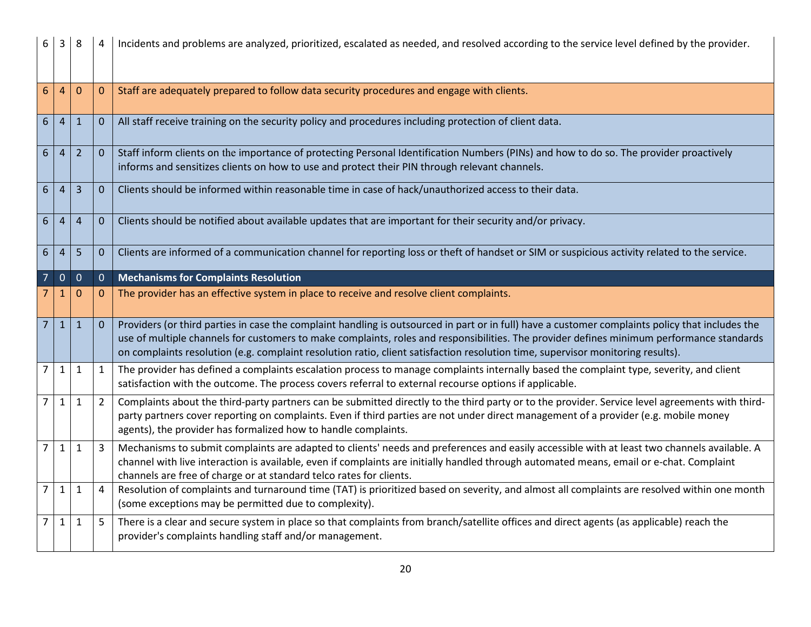| 6              | 3              | 8              |                  | Incidents and problems are analyzed, prioritized, escalated as needed, and resolved according to the service level defined by the provider.                                                                                                                                                                                                                                                                                      |
|----------------|----------------|----------------|------------------|----------------------------------------------------------------------------------------------------------------------------------------------------------------------------------------------------------------------------------------------------------------------------------------------------------------------------------------------------------------------------------------------------------------------------------|
| 6              | $\overline{4}$ | $\mathbf 0$    | $\boldsymbol{0}$ | Staff are adequately prepared to follow data security procedures and engage with clients.                                                                                                                                                                                                                                                                                                                                        |
| $6\phantom{.}$ | $\overline{4}$ | $\mathbf{1}$   | $\mathbf 0$      | All staff receive training on the security policy and procedures including protection of client data.                                                                                                                                                                                                                                                                                                                            |
| 6              | $\overline{4}$ | $\overline{2}$ | $\Omega$         | Staff inform clients on the importance of protecting Personal Identification Numbers (PINs) and how to do so. The provider proactively<br>informs and sensitizes clients on how to use and protect their PIN through relevant channels.                                                                                                                                                                                          |
| 6              | 4              | 3              | $\mathbf{0}$     | Clients should be informed within reasonable time in case of hack/unauthorized access to their data.                                                                                                                                                                                                                                                                                                                             |
| 6              | 4              | $\overline{4}$ | $\mathbf{0}$     | Clients should be notified about available updates that are important for their security and/or privacy.                                                                                                                                                                                                                                                                                                                         |
| 6              | $\overline{4}$ | 5              | $\mathbf 0$      | Clients are informed of a communication channel for reporting loss or theft of handset or SIM or suspicious activity related to the service.                                                                                                                                                                                                                                                                                     |
|                | $\mathbf{0}$   | $\mathbf 0$    | $\mathbf{0}$     | <b>Mechanisms for Complaints Resolution</b>                                                                                                                                                                                                                                                                                                                                                                                      |
|                | 1              | 0              | $\mathbf{0}$     | The provider has an effective system in place to receive and resolve client complaints.                                                                                                                                                                                                                                                                                                                                          |
| 7              | $\mathbf{1}$   | $\mathbf{1}$   | $\mathbf{0}$     | Providers (or third parties in case the complaint handling is outsourced in part or in full) have a customer complaints policy that includes the<br>use of multiple channels for customers to make complaints, roles and responsibilities. The provider defines minimum performance standards<br>on complaints resolution (e.g. complaint resolution ratio, client satisfaction resolution time, supervisor monitoring results). |
| 7              | $\mathbf{1}$   | 1              | $\mathbf{1}$     | The provider has defined a complaints escalation process to manage complaints internally based the complaint type, severity, and client<br>satisfaction with the outcome. The process covers referral to external recourse options if applicable.                                                                                                                                                                                |
| 7              | $\mathbf{1}$   | $\mathbf{1}$   | $\overline{2}$   | Complaints about the third-party partners can be submitted directly to the third party or to the provider. Service level agreements with third-<br>party partners cover reporting on complaints. Even if third parties are not under direct management of a provider (e.g. mobile money<br>agents), the provider has formalized how to handle complaints.                                                                        |
| $\overline{7}$ | $\mathbf{1}$   | 1              | 3                | Mechanisms to submit complaints are adapted to clients' needs and preferences and easily accessible with at least two channels available. A<br>channel with live interaction is available, even if complaints are initially handled through automated means, email or e-chat. Complaint<br>channels are free of charge or at standard telco rates for clients.                                                                   |
| $\overline{7}$ | $\mathbf{1}$   | 1              | 4                | Resolution of complaints and turnaround time (TAT) is prioritized based on severity, and almost all complaints are resolved within one month<br>(some exceptions may be permitted due to complexity).                                                                                                                                                                                                                            |
| 7              | $\mathbf{1}$   | $\mathbf{1}$   | 5                | There is a clear and secure system in place so that complaints from branch/satellite offices and direct agents (as applicable) reach the<br>provider's complaints handling staff and/or management.                                                                                                                                                                                                                              |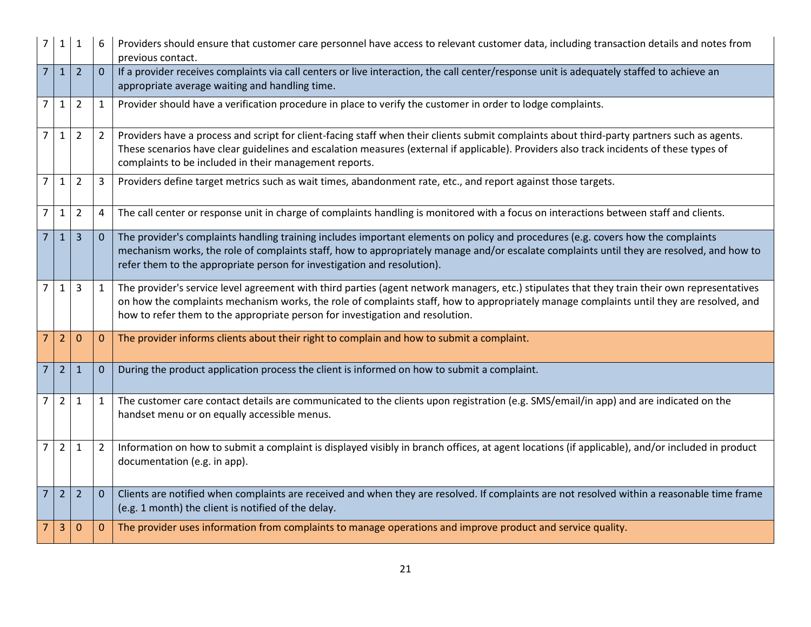| 7              | $\mathbf{1}$   | 1              |                | Providers should ensure that customer care personnel have access to relevant customer data, including transaction details and notes from<br>previous contact.                                                                                                                                                                                                              |
|----------------|----------------|----------------|----------------|----------------------------------------------------------------------------------------------------------------------------------------------------------------------------------------------------------------------------------------------------------------------------------------------------------------------------------------------------------------------------|
| $\overline{7}$ | $\mathbf{1}$   | $\overline{2}$ | $\overline{0}$ | If a provider receives complaints via call centers or live interaction, the call center/response unit is adequately staffed to achieve an<br>appropriate average waiting and handling time.                                                                                                                                                                                |
| 7              | $\mathbf{1}$   | $\overline{2}$ | $\mathbf{1}$   | Provider should have a verification procedure in place to verify the customer in order to lodge complaints.                                                                                                                                                                                                                                                                |
| $\overline{7}$ | $\mathbf{1}$   | $\overline{2}$ | $\overline{2}$ | Providers have a process and script for client-facing staff when their clients submit complaints about third-party partners such as agents.<br>These scenarios have clear guidelines and escalation measures (external if applicable). Providers also track incidents of these types of<br>complaints to be included in their management reports.                          |
| $\overline{7}$ | $\mathbf{1}$   | $\overline{2}$ | 3              | Providers define target metrics such as wait times, abandonment rate, etc., and report against those targets.                                                                                                                                                                                                                                                              |
| $\overline{7}$ | $\mathbf{1}$   | $\overline{2}$ | 4              | The call center or response unit in charge of complaints handling is monitored with a focus on interactions between staff and clients.                                                                                                                                                                                                                                     |
| $\overline{7}$ | $1\vert$       | $\overline{3}$ | $\overline{0}$ | The provider's complaints handling training includes important elements on policy and procedures (e.g. covers how the complaints<br>mechanism works, the role of complaints staff, how to appropriately manage and/or escalate complaints until they are resolved, and how to<br>refer them to the appropriate person for investigation and resolution).                   |
| $\overline{7}$ | $\mathbf{1}$   | 3              | $\mathbf{1}$   | The provider's service level agreement with third parties (agent network managers, etc.) stipulates that they train their own representatives<br>on how the complaints mechanism works, the role of complaints staff, how to appropriately manage complaints until they are resolved, and<br>how to refer them to the appropriate person for investigation and resolution. |
| 7              | $\overline{2}$ | $\mathbf 0$    | $\mathbf{0}$   | The provider informs clients about their right to complain and how to submit a complaint.                                                                                                                                                                                                                                                                                  |
| $\overline{7}$ | $\overline{2}$ | $\mathbf{1}$   | $\mathbf{0}$   | During the product application process the client is informed on how to submit a complaint.                                                                                                                                                                                                                                                                                |
| $\overline{7}$ | $\overline{2}$ | 1              | $\mathbf{1}$   | The customer care contact details are communicated to the clients upon registration (e.g. SMS/email/in app) and are indicated on the<br>handset menu or on equally accessible menus.                                                                                                                                                                                       |
| $\overline{7}$ | $\overline{2}$ | $\mathbf{1}$   | $\overline{2}$ | Information on how to submit a complaint is displayed visibly in branch offices, at agent locations (if applicable), and/or included in product<br>documentation (e.g. in app).                                                                                                                                                                                            |
| $\overline{7}$ | 2 <sup>1</sup> | $\overline{2}$ | $\overline{0}$ | Clients are notified when complaints are received and when they are resolved. If complaints are not resolved within a reasonable time frame<br>(e.g. 1 month) the client is notified of the delay.                                                                                                                                                                         |
| 7              | 3              | $\mathbf 0$    | $\mathbf{0}$   | The provider uses information from complaints to manage operations and improve product and service quality.                                                                                                                                                                                                                                                                |